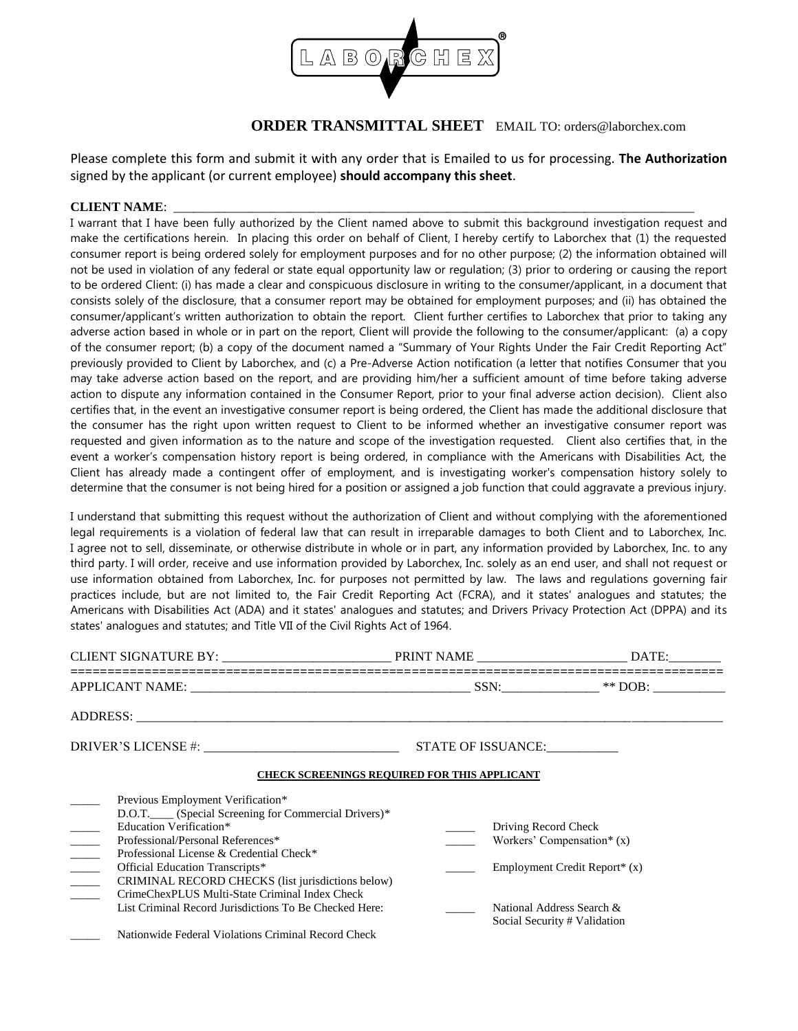

## **ORDER TRANSMITTAL SHEET** EMAIL TO: orders@laborchex.com

Please complete this form and submit it with any order that is Emailed to us for processing. **The Authorization** signed by the applicant (or current employee) **should accompany this sheet**.

## **CLIENT NAME:**

I warrant that I have been fully authorized by the Client named above to submit this background investigation request and make the certifications herein. In placing this order on behalf of Client, I hereby certify to Laborchex that (1) the requested consumer report is being ordered solely for employment purposes and for no other purpose; (2) the information obtained will not be used in violation of any federal or state equal opportunity law or regulation; (3) prior to ordering or causing the report to be ordered Client: (i) has made a clear and conspicuous disclosure in writing to the consumer/applicant, in a document that consists solely of the disclosure, that a consumer report may be obtained for employment purposes; and (ii) has obtained the consumer/applicant's written authorization to obtain the report. Client further certifies to Laborchex that prior to taking any adverse action based in whole or in part on the report, Client will provide the following to the consumer/applicant: (a) a copy of the consumer report; (b) a copy of the document named a "Summary of Your Rights Under the Fair Credit Reporting Act" previously provided to Client by Laborchex, and (c) a Pre-Adverse Action notification (a letter that notifies Consumer that you may take adverse action based on the report, and are providing him/her a sufficient amount of time before taking adverse action to dispute any information contained in the Consumer Report, prior to your final adverse action decision). Client also certifies that, in the event an investigative consumer report is being ordered, the Client has made the additional disclosure that the consumer has the right upon written request to Client to be informed whether an investigative consumer report was requested and given information as to the nature and scope of the investigation requested. Client also certifies that, in the event a worker's compensation history report is being ordered, in compliance with the Americans with Disabilities Act, the Client has already made a contingent offer of employment, and is investigating worker's compensation history solely to determine that the consumer is not being hired for a position or assigned a job function that could aggravate a previous injury.

I understand that submitting this request without the authorization of Client and without complying with the aforementioned legal requirements is a violation of federal law that can result in irreparable damages to both Client and to Laborchex, Inc. I agree not to sell, disseminate, or otherwise distribute in whole or in part, any information provided by Laborchex, Inc. to any third party. I will order, receive and use information provided by Laborchex, Inc. solely as an end user, and shall not request or use information obtained from Laborchex, Inc. for purposes not permitted by law. The laws and regulations governing fair practices include, but are not limited to, the Fair Credit Reporting Act (FCRA), and it states' analogues and statutes; the Americans with Disabilities Act (ADA) and it states' analogues and statutes; and Drivers Privacy Protection Act (DPPA) and its states' analogues and statutes; and Title VII of the Civil Rights Act of 1964.

|                                                                                                                                                                                                                                                                                                                                                                                                                                                                                | STATE OF ISSUANCE:                                  |                                                                                                                            |
|--------------------------------------------------------------------------------------------------------------------------------------------------------------------------------------------------------------------------------------------------------------------------------------------------------------------------------------------------------------------------------------------------------------------------------------------------------------------------------|-----------------------------------------------------|----------------------------------------------------------------------------------------------------------------------------|
|                                                                                                                                                                                                                                                                                                                                                                                                                                                                                | <b>CHECK SCREENINGS REQUIRED FOR THIS APPLICANT</b> |                                                                                                                            |
| Previous Employment Verification*<br>D.O.T. (Special Screening for Commercial Drivers)*<br><b>Education Verification*</b><br>Professional/Personal References*<br>$\frac{1}{1}$<br>Professional License & Credential Check*<br>$\mathcal{L}^{\text{max}}$<br>Official Education Transcripts*<br>$\frac{1}{2}$<br>CRIMINAL RECORD CHECKS (list jurisdictions below)<br>CrimeChexPLUS Multi-State Criminal Index Check<br>List Criminal Record Jurisdictions To Be Checked Here: | Driving Record Check                                | Workers' Compensation* $(x)$<br>Employment Credit Report* (x)<br>National Address Search &<br>Social Security # Validation |